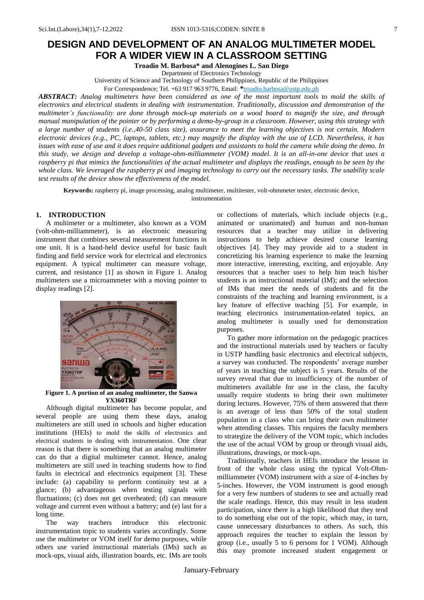# **DESIGN AND DEVELOPMENT OF AN ANALOG MULTIMETER MODEL FOR A WIDER VIEW IN A CLASSROOM SETTING**

**Troadio M. Barbosa\* and Alenogines L. San Diego**

Department of Electronics Technology

University of Science and Technology of Southern Philippines, Republic of the Philippines

For Correspondence; Tel. +63 917 963 9776, Email: **\***troadio.barbosa@ustp.edu.ph

*ABSTRACT: Analog multimeters have been considered as one of the most important tools to mold the skills of electronics and electrical students in dealing with instrumentation. Traditionally, discussion and demonstration of the multimeter's functionality are done through mock-up materials on a wood board to magnify the size, and through manual manipulation of the pointer or by performing a demo-by-group in a classroom. However, using this strategy with a large number of students (i.e.,40-50 class size), assurance to meet the learning objectives is not certain. Modern electronic devices (e.g., PC, laptops, tablets, etc.) may magnify the display with the use of LCD. Nevertheless, it has issues with ease of use and it does require additional gadgets and assistants to hold the camera while doing the demo. In this study, we design and develop a voltage-ohm-milliammeter (VOM) model. It is an all-in-one device that uses a raspberry pi that mimics the functionalities of the actual multimeter and displays the readings, enough to be seen by the whole class. We leveraged the raspberry pi and imaging technology to carry out the necessary tasks. The usability scale test results of the device show the effectiveness of the model.* 

**Keywords:** raspberry pi, image processing, analog multimeter, multitester, volt-ohmmeter tester, electronic device, instrumentation

# **1. INTRODUCTION**

A multimeter or a multimeter, also known as a VOM (volt-ohm-milliammeter), is an electronic measuring instrument that combines several measurement functions in one unit. It is a hand-held device useful for basic fault finding and field service work for electrical and electronics equipment. A typical multimeter can measure voltage, current, and resistance [1] as shown in Figure 1. Analog multimeters use a microammeter with a moving pointer to display readings [2].



**Figure 1. A portion of an analog multimeter, the Sanwa YX360TRF**

Although digital multimeter has become popular, and several people are using them these days, analog multimeters are still used in schools and higher education institutions (HEIs) to mold the skills of electronics and electrical students in dealing with instrumentation. One clear reason is that there is something that an analog multimeter can do that a digital multimeter cannot. Hence, analog multimeters are still used in teaching students how to find faults in electrical and electronics equipment [3]. These include: (a) capability to perform continuity test at a glance; (b) advantageous when testing signals with fluctuations; (c) does not get overheated; (d) can measure voltage and current even without a battery; and (e) last for a long time.

The way teachers introduce this electronic instrumentation topic to students varies accordingly. Some use the multimeter or VOM itself for demo purposes, while others use varied instructional materials (IMs) such as mock-ups, visual aids, illustration boards, etc. IMs are tools or collections of materials, which include objects (e.g., animated or unanimated) and human and non-human resources that a teacher may utilize in delivering instructions to help achieve desired course learning objectives [4]. They may provide aid to a student in concretizing his learning experience to make the learning more interactive, interesting, exciting, and enjoyable. Any resources that a teacher uses to help him teach his/her students is an instructional material (IM); and the selection of IMs that meet the needs of students and fit the constraints of the teaching and learning environment, is a key feature of effective teaching [5]. For example, in teaching electronics instrumentation-related topics, an analog multimeter is usually used for demonstration purposes.

To gather more information on the pedagogic practices and the instructional materials used by teachers or faculty in USTP handling basic electronics and electrical subjects, a survey was conducted. The respondents' average number of years in teaching the subject is 5 years. Results of the survey reveal that due to insufficiency of the number of multimeters available for use in the class, the faculty usually require students to bring their own multimeter during lectures. However, 75% of them answered that there is an average of less than 50% of the total student population in a class who can bring their own multimeter when attending classes. This requires the faculty members to strategize the delivery of the VOM topic, which includes the use of the actual VOM by group or through visual aids, illustrations, drawings, or mock-ups.

Traditionally, teachers in HEIs introduce the lesson in front of the whole class using the typical Volt-Ohmmilliammeter (VOM) instrument with a size of 4-inches by 5-inches. However, the VOM instrument is good enough for a very few numbers of students to see and actually read the scale readings. Hence, this may result in less student participation, since there is a high likelihood that they tend to do something else out of the topic, which may, in turn, cause unnecessary disturbances to others. As such, this approach requires the teacher to explain the lesson by group (i.e., usually 5 to 6 persons for 1 VOM). Although this may promote increased student engagement or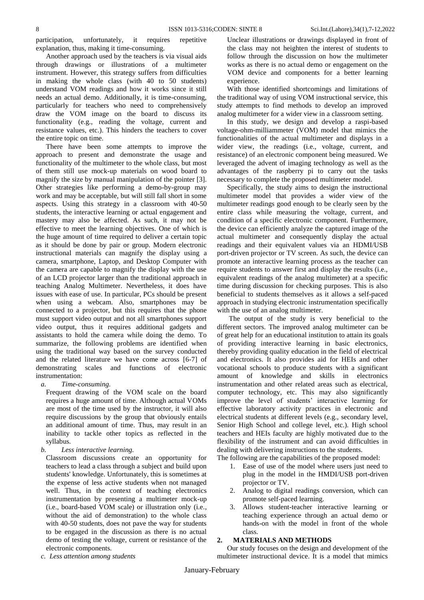participation, unfortunately, it requires repetitive explanation, thus, making it time-consuming.

Another approach used by the teachers is via visual aids through drawings or illustrations of a multimeter instrument. However, this strategy suffers from difficulties in making the whole class (with 40 to 50 students) understand VOM readings and how it works since it still needs an actual demo. Additionally, it is time-consuming, particularly for teachers who need to comprehensively draw the VOM image on the board to discuss its functionality (e.g., reading the voltage, current and resistance values, etc.). This hinders the teachers to cover the entire topic on time.

There have been some attempts to improve the approach to present and demonstrate the usage and functionality of the multimeter to the whole class, but most of them still use mock-up materials on wood board to magnify the size by manual manipulation of the pointer [3]. Other strategies like performing a demo-by-group may work and may be acceptable, but will still fall short in some aspects. Using this strategy in a classroom with 40-50 students, the interactive learning or actual engagement and mastery may also be affected. As such, it may not be effective to meet the learning objectives. One of which is the huge amount of time required to deliver a certain topic as it should be done by pair or group. Modern electronic instructional materials can magnify the display using a camera, smartphone, Laptop, and Desktop Computer with the camera are capable to magnify the display with the use of an LCD projector larger than the traditional approach in teaching Analog Multimeter. Nevertheless, it does have issues with ease of use. In particular, PCs should be present when using a webcam. Also, smartphones may be connected to a projector, but this requires that the phone must support video output and not all smartphones support video output, thus it requires additional gadgets and assistants to hold the camera while doing the demo. To summarize, the following problems are identified when using the traditional way based on the survey conducted and the related literature we have come across [6-7] of demonstrating scales and functions of electronic instrumentation:

*a. Time-consuming.*

Frequent drawing of the VOM scale on the board requires a huge amount of time. Although actual VOMs are most of the time used by the instructor, it will also require discussions by the group that obviously entails an additional amount of time. Thus, may result in an inability to tackle other topics as reflected in the syllabus.

*b. Less interactive learning.*

Classroom discussions create an opportunity for teachers to lead a class through a subject and build upon students' knowledge. Unfortunately, this is sometimes at the expense of less active students when not managed well. Thus, in the context of teaching electronics instrumentation by presenting a multimeter mock-up (i.e., board-based VOM scale) or illustration only (i.e., without the aid of demonstration) to the whole class with 40-50 students, does not pave the way for students to be engaged in the discussion as there is no actual demo of testing the voltage, current or resistance of the electronic components.

*c. Less attention among students*

Unclear illustrations or drawings displayed in front of the class may not heighten the interest of students to follow through the discussion on how the multimeter works as there is no actual demo or engagement on the VOM device and components for a better learning experience.

With those identified shortcomings and limitations of the traditional way of using VOM instructional service, this study attempts to find methods to develop an improved analog multimeter for a wider view in a classroom setting.

In this study, we design and develop a raspi-based voltage-ohm-milliammeter (VOM) model that mimics the functionalities of the actual multimeter and displays in a wider view, the readings (i.e., voltage, current, and resistance) of an electronic component being measured. We leveraged the advent of imaging technology as well as the advantages of the raspberry pi to carry out the tasks necessary to complete the proposed multimeter model.

Specifically, the study aims to design the instructional multimeter model that provides a wider view of the multimeter readings good enough to be clearly seen by the entire class while measuring the voltage, current, and condition of a specific electronic component. Furthermore, the device can efficiently analyze the captured image of the actual multimeter and consequently display the actual readings and their equivalent values via an HDMI/USB port-driven projector or TV screen. As such, the device can promote an interactive learning process as the teacher can require students to answer first and display the results (i.e., equivalent readings of the analog multimeter) at a specific time during discussion for checking purposes. This is also beneficial to students themselves as it allows a self-paced approach in studying electronic instrumentation specifically with the use of an analog multimeter.

The output of the study is very beneficial to the different sectors. The improved analog multimeter can be of great help for an educational institution to attain its goals of providing interactive learning in basic electronics, thereby providing quality education in the field of electrical and electronics. It also provides aid for HEIs and other vocational schools to produce students with a significant amount of knowledge and skills in electronics instrumentation and other related areas such as electrical, computer technology, etc. This may also significantly improve the level of students' interactive learning for effective laboratory activity practices in electronic and electrical students at different levels (e.g., secondary level, Senior High School and college level, etc.). High school teachers and HEIs faculty are highly motivated due to the flexibility of the instrument and can avoid difficulties in dealing with delivering instructions to the students.

The following are the capabilities of the proposed model:

- 1. Ease of use of the model where users just need to plug in the model in the HMDI/USB port-driven projector or TV.
- 2. Analog to digital readings conversion, which can promote self-paced learning.
- 3. Allows student-teacher interactive learning or teaching experience through an actual demo or hands-on with the model in front of the whole class.

#### **2. MATERIALS AND METHODS**

Our study focuses on the design and development of the multimeter instructional device. It is a model that mimics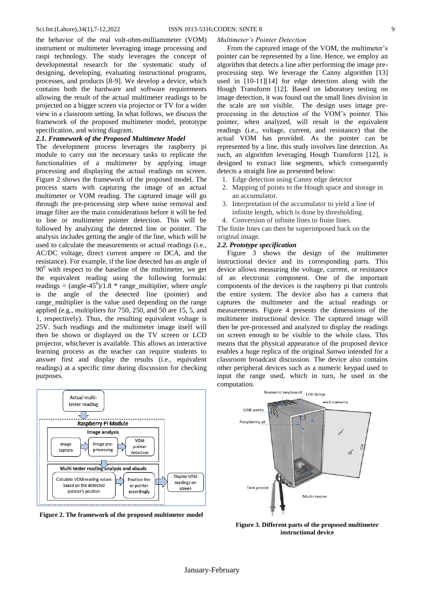the behavior of the real volt-ohm-milliammeter (VOM) instrument or multimeter leveraging image processing and raspi technology. The study leverages the concept of developmental research for the systematic study of designing, developing, evaluating instructional programs, processes, and products [8-9]. We develop a device, which contains both the hardware and software requirements allowing the result of the actual multimeter readings to be projected on a bigger screen via projector or TV for a wider view in a classroom setting. In what follows, we discuss the framework of the proposed multimeter model, prototype specification, and wiring diagram.

# *2.1. Framework of the Proposed Multimeter Model*

The development process leverages the raspberry pi module to carry out the necessary tasks to replicate the functionalities of a multimeter by applying image processing and displaying the actual readings on screen. Figure 2 shows the framework of the proposed model. The process starts with capturing the image of an actual multimeter or VOM reading. The captured image will go through the pre-processing step where noise removal and image filter are the main considerations before it will be fed to line or multimeter pointer detection. This will be followed by analyzing the detected line or pointer. The analysis includes getting the angle of the line, which will be used to calculate the measurements or actual readings (i.e., AC/DC voltage, direct current ampere or DCA, and the resistance). For example, if the line detected has an angle of  $90^{\circ}$  with respect to the baseline of the multimeter, we get the equivalent reading using the following formula: readings =  $(\text{angle-45}^{\circ})/1.8$  \* range\_multiplier, where *angle* is the angle of the detected line (pointer) and range multiplier is the value used depending on the range applied (e.g., multipliers for 750, 250, and 50 are 15, 5, and 1, respectively). Thus, the resulting equivalent voltage is 25V. Such readings and the multimeter image itself will then be shown or displayed on the TV screen or LCD projector, whichever is available. This allows an interactive learning process as the teacher can require students to answer first and display the results (i.e., equivalent readings) at a specific time during discussion for checking purposes.



**Figure 2. The framework of the proposed multimeter model**

#### *Multimeter's Pointer Detection*

From the captured image of the VOM, the multimeter's pointer can be represented by a line. Hence, we employ an algorithm that detects a line after performing the image preprocessing step. We leverage the Canny algorithm [13] used in [10-11][14] for edge detection along with the Hough Transform [12]. Based on laboratory testing on image detection, it was found out the small lines division in the scale are not visible. The design uses image preprocessing in the detection of the VOM's pointer. This pointer, when analyzed, will result in the equivalent readings (i.e., voltage, current, and resistance) that the actual VOM has provided. As the pointer can be represented by a line, this study involves line detection. As such, an algorithm leveraging Hough Transform [12], is designed to extract line segments, which consequently detects a straight line as presented below:

- 1. Edge detection using Canny edge detector
- 2. Mapping of points to the Hough space and storage in an accumulator.
- 3. Interpretation of the accumulator to yield a line of infinite length, which is done by thresholding.
- 4. Conversion of infinite lines to finite lines.

The finite lines can then be superimposed back on the original image.

# *2.2. Prototype specification*

Figure 3 shows the design of the multimeter instructional device and its corresponding parts. This device allows measuring the voltage, current, or resistance of an electronic component. One of the important components of the devices is the raspberry pi that controls the entire system. The device also has a camera that captures the multimeter and the actual readings or measurements. Figure 4 presents the dimensions of the multimeter instructional device. The captured image will then be pre-processed and analyzed to display the readings on screen enough to be visible to the whole class. This means that the physical appearance of the proposed device enables a huge replica of the original *Sanwa* intended for a classroom broadcast discussion. The device also contains other peripheral devices such as a numeric keypad used to input the range used, which in turn, be used in the computation.



**Figure 3. Different parts of the proposed multimeter instructional device**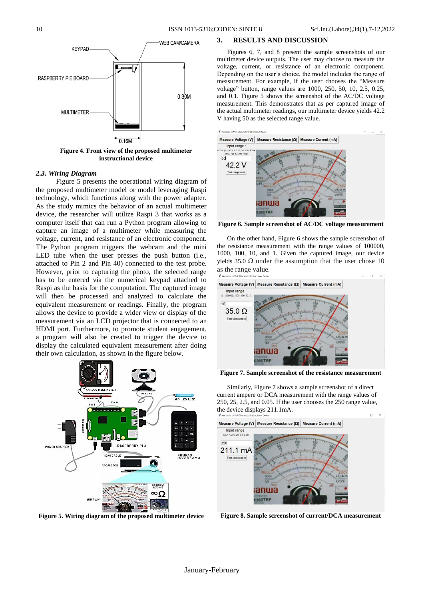

**Figure 4. Front view of the proposed multimeter instructional device**

#### *2.3. Wiring Diagram*

Figure 5 presents the operational wiring diagram of the proposed multimeter model or model leveraging Raspi technology, which functions along with the power adapter. As the study mimics the behavior of an actual multimeter device, the researcher will utilize Raspi 3 that works as a computer itself that can run a Python program allowing to capture an image of a multimeter while measuring the voltage, current, and resistance of an electronic component. The Python program triggers the webcam and the mini LED tube when the user presses the push button (i.e., attached to Pin 2 and Pin 40) connected to the test probe. However, prior to capturing the photo, the selected range has to be entered via the numerical keypad attached to Raspi as the basis for the computation. The captured image will then be processed and analyzed to calculate the equivalent measurement or readings. Finally, the program allows the device to provide a wider view or display of the measurement via an LCD projector that is connected to an HDMI port. Furthermore, to promote student engagement, a program will also be created to trigger the device to display the calculated equivalent measurement after doing their own calculation, as shown in the figure below.



**Figure 5. Wiring diagram of the proposed multimeter device**

## **3. RESULTS AND DISCUSSION**

Figures 6, 7, and 8 present the sample screenshots of our multimeter device outputs. The user may choose to measure the voltage, current, or resistance of an electronic component. Depending on the user's choice, the model includes the range of measurement. For example, if the user chooses the "Measure voltage" button, range values are 1000, 250, 50, 10, 2.5, 0.25, and 0.1. Figure 5 shows the screenshot of the AC/DC voltage measurement. This demonstrates that as per captured image of the actual multimeter readings, our multimeter device yields 42.2 V having 50 as the selected range value.



**Figure 6. Sample screenshot of AC/DC voltage measurement**

On the other hand, Figure 6 shows the sample screenshot of the resistance measurement with the range values of 100000, 1000, 100, 10, and 1. Given the captured image, our device yields 35.0  $\Omega$  under the assumption that the user chose 10 as the range value.



**Figure 7. Sample screenshot of the resistance measurement**

Similarly, Figure 7 shows a sample screenshot of a direct current ampere or DCA measurement with the range values of 250, 25, 2.5, and 0.05. If the user chooses the 250 range value, the device displays 211.1mA.



**Figure 8. Sample screenshot of current/DCA measurement**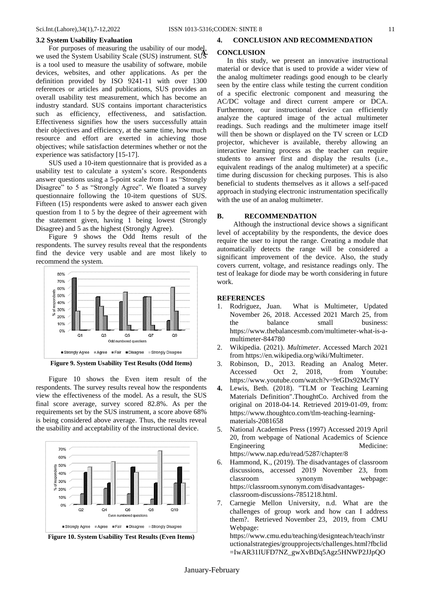#### **3.2 System Usability Evaluation**

For purposes of measuring the usability of our model, we used the System Usability Scale (SUS) instrument. SUS is a tool used to measure the usability of software, mobile devices, websites, and other applications. As per the definition provided by ISO 9241-11 with over 1300 references or articles and publications, SUS provides an overall usability test measurement, which has become an industry standard. SUS contains important characteristics such as efficiency, effectiveness, and satisfaction. Effectiveness signifies how the users successfully attain their objectives and efficiency, at the same time, how much resource and effort are exerted in achieving those objectives; while satisfaction determines whether or not the experience was satisfactory [15-17].

SUS used a 10-item questionnaire that is provided as a usability test to calculate a system's score. Respondents answer questions using a 5-point scale from 1 as "Strongly Disagree" to 5 as "Strongly Agree". We floated a survey questionnaire following the 10-item questions of SUS. Fifteen (15) respondents were asked to answer each given question from 1 to 5 by the degree of their agreement with the statement given, having 1 being lowest (Strongly Disagree) and 5 as the highest (Strongly Agree).

Figure 9 shows the Odd Items result of the respondents. The survey results reveal that the respondents find the device very usable and are most likely to recommend the system.



**Figure 9. System Usability Test Results (Odd Items)**

Figure 10 shows the Even item result of the respondents. The survey results reveal how the respondents view the effectiveness of the model. As a result, the SUS final score average, survey scored 82.8%. As per the requirements set by the SUS instrument, a score above 68% is being considered above average. Thus, the results reveal the usability and acceptability of the instructional device.



**Figure 10. System Usability Test Results (Even Items)**

## **4. CONCLUSION AND RECOMMENDATION**

## **A. CONCLUSION**

In this study, we present an innovative instructional material or device that is used to provide a wider view of the analog multimeter readings good enough to be clearly seen by the entire class while testing the current condition of a specific electronic component and measuring the AC/DC voltage and direct current ampere or DCA. Furthermore, our instructional device can efficiently analyze the captured image of the actual multimeter readings. Such readings and the multimeter image itself will then be shown or displayed on the TV screen or LCD projector, whichever is available, thereby allowing an interactive learning process as the teacher can require students to answer first and display the results (i.e., equivalent readings of the analog multimeter) at a specific time during discussion for checking purposes. This is also beneficial to students themselves as it allows a self-paced approach in studying electronic instrumentation specifically with the use of an analog multimeter.

## **B. RECOMMENDATION**

Although the instructional device shows a significant level of acceptability by the respondents, the device does require the user to input the range. Creating a module that automatically detects the range will be considered a significant improvement of the device. Also, the study covers current, voltage, and resistance readings only. The test of leakage for diode may be worth considering in future work.

#### **REFERENCES**

- 1. [Rodriguez,](https://www.thebalancesmb.com/juan-rodriguez-844348) Juan. What is Multimeter, Updated November 26, 2018. Accessed 2021 March 25, from the balance small business: https://www.thebalancesmb.com/multimeter-what-is-amultimeter-844780
- 2. Wikipedia. (2021). *Multimeter*. Accessed March 2021 from [https://en.wikipedia.org/wiki/Multimeter.](https://en.wikipedia.org/wiki/Multimeter)
- 3. Robinson, D., 2013. Reading an Analog Meter. Accessed Oct 2, 2018, from Youtube: <https://www.youtube.com/watch?v=9rGDx92McTY>
- **4.** Lewis, Beth. (2018). ["TLM or Teaching Learning](https://www.thoughtco.com/tlm-teaching-learning-materials-2081658)  [Materials Definition".](https://www.thoughtco.com/tlm-teaching-learning-materials-2081658)[ThoughtCo.](https://en.wikipedia.org/wiki/ThoughtCo) [Archived](https://web.archive.org/web/20180414170042/https:/www.thoughtco.com/tlm-teaching-learning-materials-2081658) from the original on 2018-04-14*.* Retrieved 2019-01-09, from: [https://www.thoughtco.com/tlm-teaching-learning](https://www.thoughtco.com/tlm-teaching-learning-materials-2081658)[materials-2081658](https://www.thoughtco.com/tlm-teaching-learning-materials-2081658)
- 5. National Academies Press (1997) Accessed 2019 April 20, from webpage of National Academics of Science Engineering Medicine: https://www.nap.edu/read/5287/chapter/8
- 6. Hammond, K., (2019). The disadvantages of classroom discussions, accessed 2019 November 23, from classroom synonym webpage: [https://classroom.synonym.com/disadvantages](https://classroom.synonym.com/disadvantages-classroom-discussions-7851218.html)[classroom-discussions-7851218.html.](https://classroom.synonym.com/disadvantages-classroom-discussions-7851218.html)
- 7. Carnegie Mellon University, n.d. What are the challenges of group work and how can I address them?. Retrieved November 23, 2019, from CMU Webpage:

[https://www.cmu.edu/teaching/designteach/teach/instr](https://www.cmu.edu/teaching/designteach/teach/instructionalstrategies/groupprojects/challenges.html?fbclid=IwAR31IUFD7NZ_gwXvBDq5Agz5HNWP2JJpQOes-BUcD7k7ndxQ5NgEBNJSNQE) [uctionalstrategies/groupprojects/challenges.html?fbclid](https://www.cmu.edu/teaching/designteach/teach/instructionalstrategies/groupprojects/challenges.html?fbclid=IwAR31IUFD7NZ_gwXvBDq5Agz5HNWP2JJpQOes-BUcD7k7ndxQ5NgEBNJSNQE) [=IwAR31IUFD7NZ\\_gwXvBDq5Agz5HNWP2JJpQO](https://www.cmu.edu/teaching/designteach/teach/instructionalstrategies/groupprojects/challenges.html?fbclid=IwAR31IUFD7NZ_gwXvBDq5Agz5HNWP2JJpQOes-BUcD7k7ndxQ5NgEBNJSNQE)